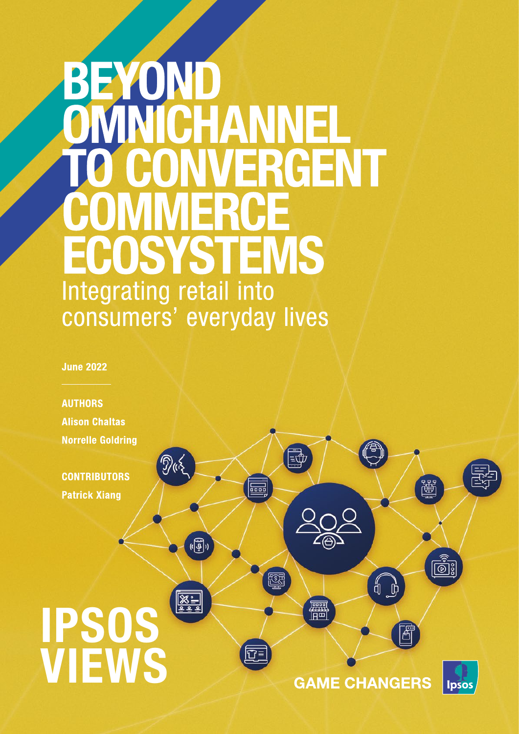# BEYOND CHANNEI RGENT **OSYSTEMS** Integrating retail into consumers' everyday lives

**June 2022** 

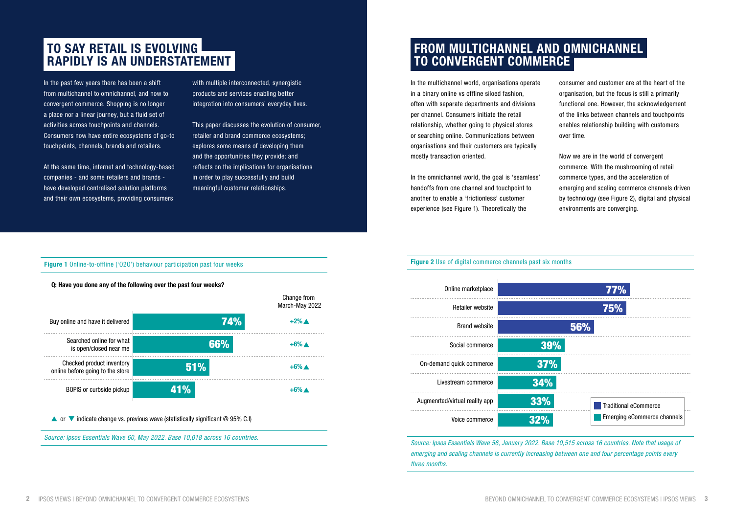# FROM MULTICHANNEL AND OMNICHANNEL TO CONVERGENT COMMERCE

In the multichannel world, organisations operate in a binary online vs offline siloed fashion, often with separate departments and divisions per channel. Consumers initiate the retail relationship, whether going to physical stores or searching online. Communications between organisations and their customers are typically mostly transaction oriented.

In the omnichannel world, the goal is 'seamless' handoffs from one channel and touchpoint to another to enable a 'frictionless' customer experience (see Figure 1). Theoretically the

#### Figure 1 Online-to-offline ('020') behaviour participation past four weeks

- consumer and customer are at the heart of the organisation, but the focus is still a primarily functional one. However, the acknowledgement of the links between channels and touchpoints enables relationship building with customers over time.
- Now we are in the world of convergent commerce. With the mushrooming of retail commerce types, and the acceleration of emerging and scaling commerce channels driven by technology (see Figure 2), digital and physical environments are converging.

# TO SAY RETAIL IS EVOLVING RAPIDLY IS AN UNDERSTATEMENT

In the past few years there has been a shift from multichannel to omnichannel, and now to convergent commerce. Shopping is no longer a place nor a linear journey, but a fluid set of activities across touchpoints and channels. Consumers now have entire ecosystems of go-to touchpoints, channels, brands and retailers.

At the same time, internet and technology-based companies - and some retailers and brands have developed centralised solution platforms and their own ecosystems, providing consumers

with multiple interconnected, synergistic products and services enabling better integration into consumers' everyday lives.

This paper discusses the evolution of consumer, retailer and brand commerce ecosystems; explores some means of developing them and the opportunities they provide; and reflects on the implications for organisations in order to play successfully and build meaningful customer relationships.

*Source: Ipsos Essentials Wave 60, May 2022. Base 10,018 across 16 countries.* 

#### **Figure 2** Use of digital commerce channels past six months

 $\sim$ 

 $\sim$   $\sim$   $\sim$ 

Q: Have you done any of the following over the past four weeks?

|                                                               |            | Change from<br>March-May 2022 |
|---------------------------------------------------------------|------------|-------------------------------|
| Buy online and have it delivered                              | 74%        | $+2\%$ $\triangle$            |
| Searched online for what<br>is open/closed near me            | 66%        | $+6\%$ $\triangle$            |
| Checked product inventory<br>online before going to the store | <b>51%</b> | $+6\%$ $\triangle$            |
| BOPIS or curbside pickup                                      | 41%        | $+6%$                         |

 $\triangle$  or  $\triangledown$  indicate change vs. previous wave (statistically significant  $\oslash$  95% C.I)

*Source: Ipsos Essentials Wave 56, January 2022. Base 10,515 across 16 countries. Note that usage of emerging and scaling channels is currently increasing between one and four percentage points every three months.*



| Online marketplace             |     |
|--------------------------------|-----|
| <b>Retailer website</b>        |     |
| <b>Brand website</b>           |     |
| Social commerce                |     |
| On-demand quick commerce       | 37  |
| Livestream commerce            | 34% |
| Augmenrted/virtual reality app | 33% |
| Voice commerce                 | 32% |
|                                |     |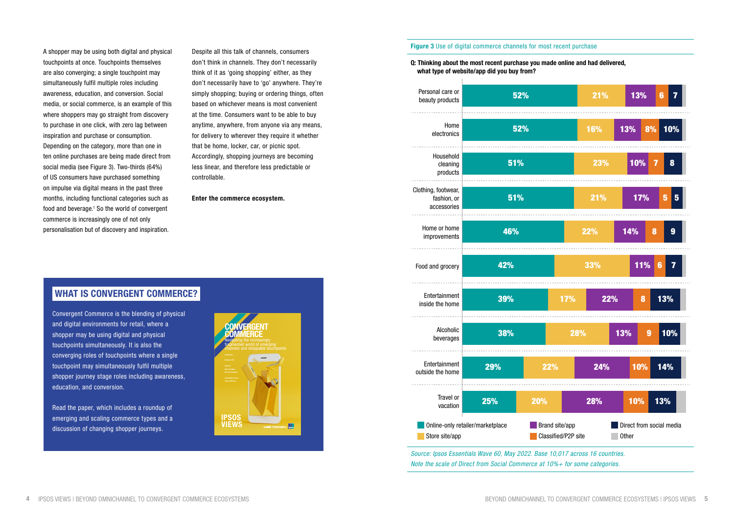A shopper may be using both digital and physical touchpoints at once. Touchpoints themselves are also converging; a single touchpoint may simultaneously fulfil multiple roles including awareness, education, and conversion. Social media, or social commerce, is an example of this where shoppers may go straight from discovery to purchase in one click, with zero lag between inspiration and purchase or consumption. Depending on the category, more than one in ten online purchases are being made direct from social media (see Figure 3). Two-thirds (64%) of US consumers have purchased something on impulse via digital means in the past three months, including functional categories such as food and beverage.<sup>1</sup> So the world of convergent commerce is increasingly one of not only personalisation but of discovery and inspiration.

Read the paper, which includes a roundup of emerging and scaling commerce types and a discussion of changing shopper journeys.

Despite all this talk of channels, consumers don't think in channels. They don't necessarily think of it as 'going shopping' either, as they don't necessarily have to 'go' anywhere. They're simply shopping; buying or ordering things, often based on whichever means is most convenient at the time. Consumers want to be able to buy anytime, anywhere, from anyone via any means, for delivery to wherever they require it whether that be home, locker, car, or picnic spot. Accordingly, shopping journeys are becoming less linear, and therefore less predictable or controllable.

Enter the commerce ecosystem.

#### **Figure 3** Use of digital commerce channels for most recent purchase

#### WHAT IS CONVERGENT COMMERCE?

Convergent Commerce is the blending of physical and digital environments for retail, where a shopper may be using digital and physical touchpoints simultaneously. It is also the converging roles of touchpoints where a single touchpoint may simultaneously fulfil multiple shopper journey stage roles including awareness, education, and conversion.



Q: Thinking about the most recent purchase you made online and had delivered, what type of website/app did you buy from?

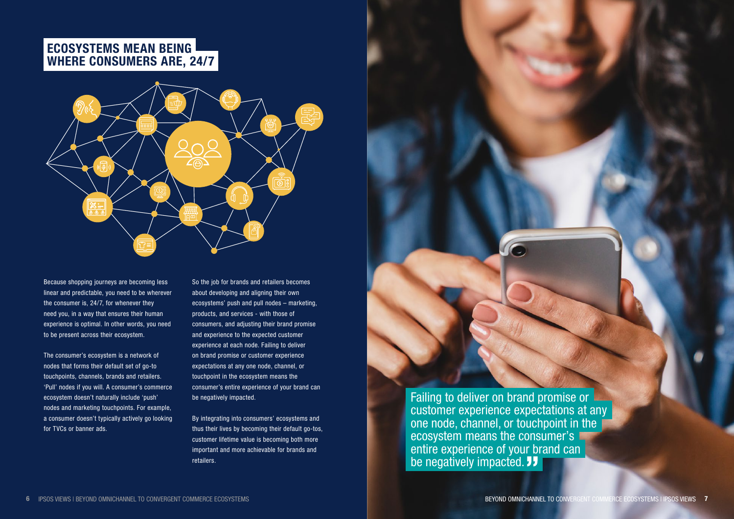# ECOSYSTEMS MEAN BEING WHERE CONSUMERS ARE, 24/7



Because shopping journeys are becoming less linear and predictable, you need to be wherever the consumer is, 24/7, for whenever they need you, in a way that ensures their human experience is optimal. In other words, you need to be present across their ecosystem.

The consumer's ecosystem is a network of nodes that forms their default set of go-to touchpoints, channels, brands and retailers. 'Pull' nodes if you will. A consumer's commerce ecosystem doesn't naturally include 'push' nodes and marketing touchpoints. For example, a consumer doesn't typically actively go looking for TVCs or banner ads.

Failing to deliver on brand promise or customer experience expectations at any one node, channel, or touchpoint in the ecosystem means the consumer's entire experience of your brand can be negatively impacted. **JJ** 

So the job for brands and retailers becomes about developing and aligning their own ecosystems' push and pull nodes – marketing, products, and services - with those of consumers, and adjusting their brand promise and experience to the expected customer experience at each node. Failing to deliver on brand promise or customer experience expectations at any one node, channel, or touchpoint in the ecosystem means the consumer's entire experience of your brand can be negatively impacted.

By integrating into consumers' ecosystems and thus their lives by becoming their default go-tos, customer lifetime value is becoming both more important and more achievable for brands and retailers.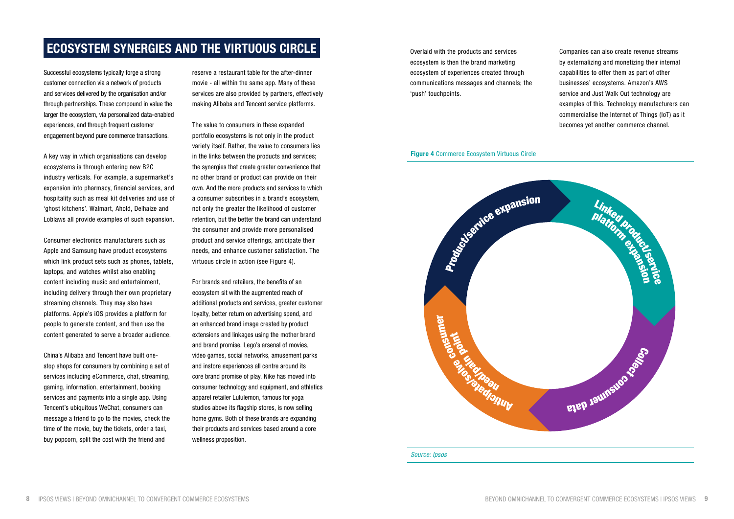Overlaid with the products and services ecosystem is then the brand marketing ecosystem of experiences created through communications messages and channels; the 'push' touchpoints.

Companies can also create revenue streams by externalizing and monetizing their internal capabilities to offer them as part of other businesses' ecosystems. Amazon's AWS service and Just Walk Out technology are examples of this. Technology manufacturers can commercialise the Internet of Things (IoT) as it becomes yet another commerce channel.

*Source: Ipsos*

# ECOSYSTEM SYNERGIES AND THE VIRTUOUS CIRCLE

Successful ecosystems typically forge a strong customer connection via a network of products and services delivered by the organisation and/or through partnerships. These compound in value the larger the ecosystem, via personalized data-enabled experiences, and through frequent customer engagement beyond pure commerce transactions.

A key way in which organisations can develop ecosystems is through entering new B2C industry verticals. For example, a supermarket's expansion into pharmacy, financial services, and hospitality such as meal kit deliveries and use of 'ghost kitchens'. Walmart, Ahold, Delhaize and Loblaws all provide examples of such expansion.

Consumer electronics manufacturers such as Apple and Samsung have product ecosystems which link product sets such as phones, tablets, laptops, and watches whilst also enabling content including music and entertainment, including delivery through their own proprietary streaming channels. They may also have platforms. Apple's iOS provides a platform for people to generate content, and then use the content generated to serve a broader audience.

China's Alibaba and Tencent have built onestop shops for consumers by combining a set of services including eCommerce, chat, streaming, gaming, information, entertainment, booking services and payments into a single app. Using Tencent's ubiquitous WeChat, consumers can message a friend to go to the movies, check the time of the movie, buy the tickets, order a taxi, buy popcorn, split the cost with the friend and



reserve a restaurant table for the after-dinner movie - all within the same app. Many of these services are also provided by partners, effectively making Alibaba and Tencent service platforms.

The value to consumers in these expanded portfolio ecosystems is not only in the product variety itself. Rather, the value to consumers lies in the links between the products and services; the synergies that create greater convenience that no other brand or product can provide on their own. And the more products and services to which a consumer subscribes in a brand's ecosystem, not only the greater the likelihood of customer retention, but the better the brand can understand the consumer and provide more personalised product and service offerings, anticipate their needs, and enhance customer satisfaction. The virtuous circle in action (see Figure 4).

For brands and retailers, the benefits of an ecosystem sit with the augmented reach of additional products and services, greater customer loyalty, better return on advertising spend, and an enhanced brand image created by product extensions and linkages using the mother brand and brand promise. Lego's arsenal of movies, video games, social networks, amusement parks and instore experiences all centre around its core brand promise of play. Nike has moved into consumer technology and equipment, and athletics apparel retailer Lululemon, famous for yoga studios above its flagship stores, is now selling home gyms. Both of these brands are expanding their products and services based around a core wellness proposition.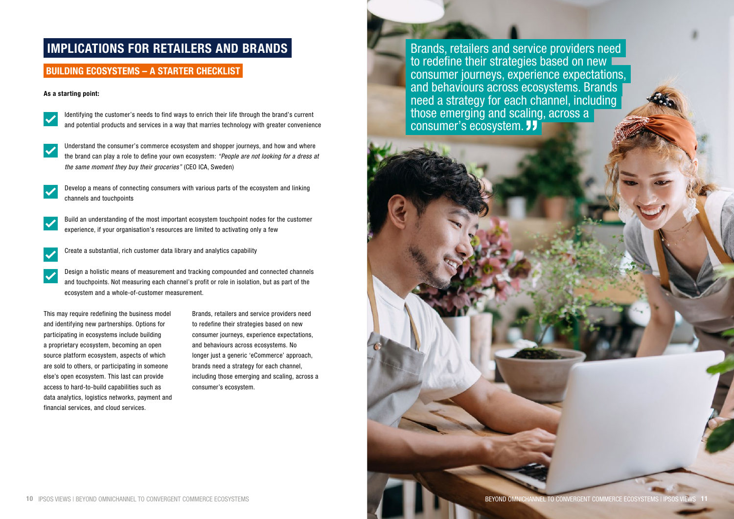# IMPLICATIONS FOR RETAILERS AND BRANDS

#### BUILDING ECOSYSTEMS – A STARTER CHECKLIST

#### As a starting point:



Identifying the customer's needs to find ways to enrich their life through the brand's current and potential products and services in a way that marries technology with greater convenience



Understand the consumer's commerce ecosystem and shopper journeys, and how and where the brand can play a role to define your own ecosystem: *"People are not looking for a dress at the same moment they buy their groceries"* (CEO ICA, Sweden)



Develop a means of connecting consumers with various parts of the ecosystem and linking channels and touchpoints



Build an understanding of the most important ecosystem touchpoint nodes for the customer experience, if your organisation's resources are limited to activating only a few



Create a substantial, rich customer data library and analytics capability

Design a holistic means of measurement and tracking compounded and connected channels and touchpoints. Not measuring each channel's profit or role in isolation, but as part of the ecosystem and a whole-of-customer measurement.

This may require redefining the business model and identifying new partnerships. Options for participating in ecosystems include building a proprietary ecosystem, becoming an open source platform ecosystem, aspects of which are sold to others, or participating in someone else's open ecosystem. This last can provide access to hard-to-build capabilities such as data analytics, logistics networks, payment and financial services, and cloud services.

Brands, retailers and service providers need to redefine their strategies based on new consumer journeys, experience expectations, and behaviours across ecosystems. No longer just a generic 'eCommerce' approach, brands need a strategy for each channel, including those emerging and scaling, across a consumer's ecosystem.

Brands, retailers and service providers need to redefine their strategies based on new  $\blacksquare$ consumer journeys, experience expectations, and behaviours across ecosystems. Brands need a strategy for each channel, including those emerging and scaling, across a consumer's ecosystem. 77

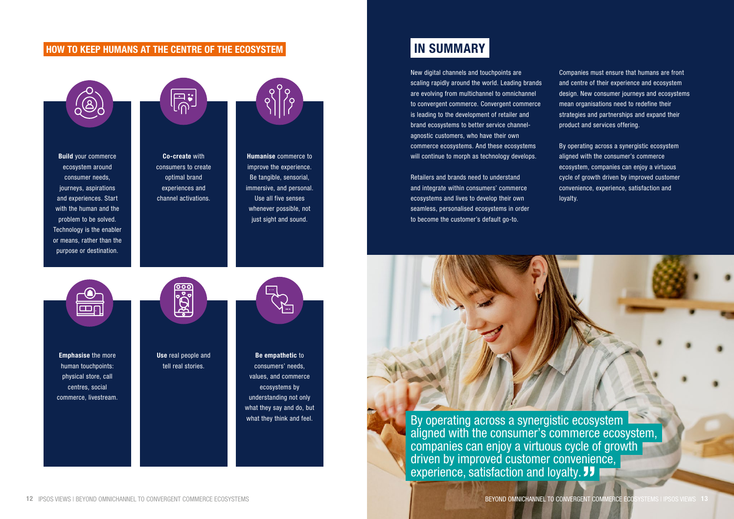Build your commerce ecosystem around consumer needs, journeys, aspirations and experiences. Start with the human and the problem to be solved. Technology is the enabler or means, rather than the purpose or destination.



Use real people and tell real stories.



Emphasise the more human touchpoints: physical store, call centres, social commerce, livestream.



Co-create with consumers to create optimal brand experiences and channel activations.



Humanise commerce to improve the experience. Be tangible, sensorial, immersive, and personal. Use all five senses whenever possible, not just sight and sound.

 $\overline{\mathbf{m}}$ 

Be empathetic to consumers' needs, values, and commerce ecosystems by understanding not only what they say and do, but what they think and feel.

# IN SUMMARY

By operating across a synergistic ecosystem aligned with the consumer's commerce ecosystem, companies can enjoy a virtuous cycle of growth driven by improved customer convenience, experience, satisfaction and loyalty. **JJ** 

New digital channels and touchpoints are scaling rapidly around the world. Leading brands are evolving from multichannel to omnichannel to convergent commerce. Convergent commerce is leading to the development of retailer and brand ecosystems to better service channelagnostic customers, who have their own commerce ecosystems. And these ecosystems will continue to morph as technology develops.

Retailers and brands need to understand and integrate within consumers' commerce ecosystems and lives to develop their own seamless, personalised ecosystems in order to become the customer's default go-to.

Companies must ensure that humans are front and centre of their experience and ecosystem design. New consumer journeys and ecosystems mean organisations need to redefine their strategies and partnerships and expand their product and services offering.

By operating across a synergistic ecosystem aligned with the consumer's commerce ecosystem, companies can enjoy a virtuous cycle of growth driven by improved customer convenience, experience, satisfaction and loyalty.

#### HOW TO KEEP HUMANS AT THE CENTRE OF THE ECOSYSTEM

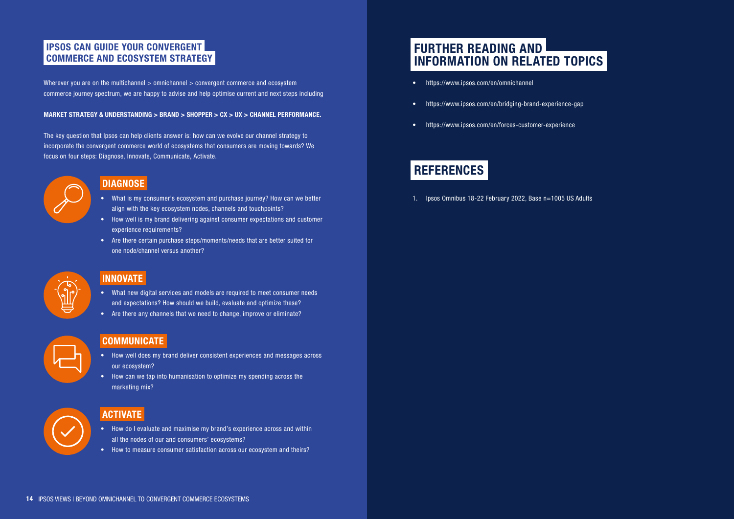# FURTHER READING AND INFORMATION ON RELATED TOPICS

- <https://www.ipsos.com/en/omnichannel>
- <https://www.ipsos.com/en/bridging-brand-experience-gap>
- <https://www.ipsos.com/en/forces-customer-experience>

# REFERENCES

1. Ipsos Omnibus 18-22 February 2022, Base n=1005 US Adults



Wherever you are on the multichannel  $>$  omnichannel  $>$  convergent commerce and ecosystem commerce journey spectrum, we are happy to advise and help optimise current and next steps including

#### IPSOS CAN GUIDE YOUR CONVERGENT COMMERCE AND ECOSYSTEM STRATEGY

#### MARKET STRATEGY & UNDERSTANDING > BRAND > SHOPPER > CX > UX > CHANNEL PERFORMANCE.

The key question that Ipsos can help clients answer is: how can we evolve our channel strategy to incorporate the convergent commerce world of ecosystems that consumers are moving towards? We focus on four steps: Diagnose, Innovate, Communicate, Activate.



### **DIAGNOSE**

- What is my consumer's ecosystem and purchase journey? How can we better align with the key ecosystem nodes, channels and touchpoints?
- How well is my brand delivering against consumer expectations and customer experience requirements?
- Are there certain purchase steps/moments/needs that are better suited for one node/channel versus another?



#### INNOVATE

- What new digital services and models are required to meet consumer needs and expectations? How should we build, evaluate and optimize these?
- Are there any channels that we need to change, improve or eliminate?



### **COMMUNICATE**

- How well does my brand deliver consistent experiences and messages across our ecosystem?
- How can we tap into humanisation to optimize my spending across the marketing mix?



#### ACTIVATE

- How do I evaluate and maximise my brand's experience across and within all the nodes of our and consumers' ecosystems?
- How to measure consumer satisfaction across our ecosystem and theirs?